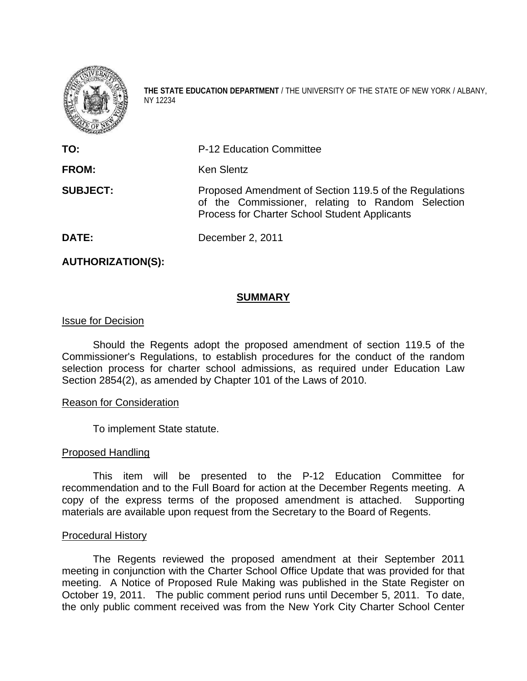

**THE STATE EDUCATION DEPARTMENT** / THE UNIVERSITY OF THE STATE OF NEW YORK / ALBANY, NY 12234

| TO:             | <b>P-12 Education Committee</b>                                                                                                                              |
|-----------------|--------------------------------------------------------------------------------------------------------------------------------------------------------------|
| <b>FROM:</b>    | <b>Ken Slentz</b>                                                                                                                                            |
| <b>SUBJECT:</b> | Proposed Amendment of Section 119.5 of the Regulations<br>of the Commissioner, relating to Random Selection<br>Process for Charter School Student Applicants |
| DATE:           | December 2, 2011                                                                                                                                             |

**AUTHORIZATION(S):** 

## **SUMMARY**

## Issue for Decision

 Should the Regents adopt the proposed amendment of section 119.5 of the Commissioner's Regulations, to establish procedures for the conduct of the random selection process for charter school admissions, as required under Education Law Section 2854(2), as amended by Chapter 101 of the Laws of 2010.

### Reason for Consideration

To implement State statute.

### Proposed Handling

 This item will be presented to the P-12 Education Committee for recommendation and to the Full Board for action at the December Regents meeting. A copy of the express terms of the proposed amendment is attached. Supporting materials are available upon request from the Secretary to the Board of Regents.

# Procedural History

 The Regents reviewed the proposed amendment at their September 2011 meeting in conjunction with the Charter School Office Update that was provided for that meeting. A Notice of Proposed Rule Making was published in the State Register on October 19, 2011. The public comment period runs until December 5, 2011. To date, the only public comment received was from the New York City Charter School Center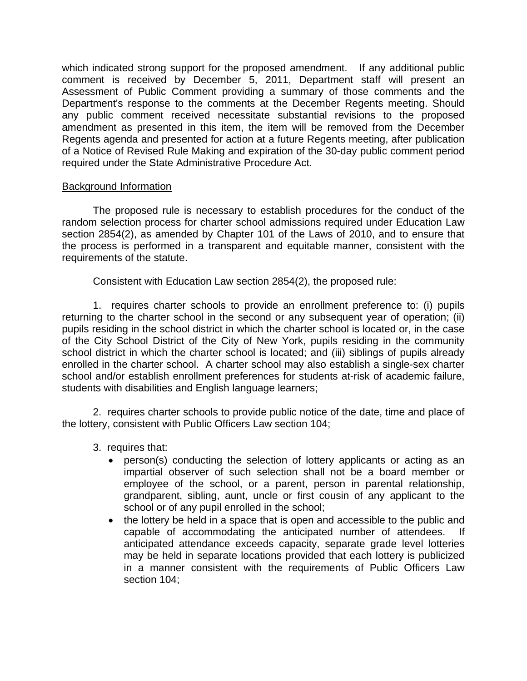which indicated strong support for the proposed amendment. If any additional public comment is received by December 5, 2011, Department staff will present an Assessment of Public Comment providing a summary of those comments and the Department's response to the comments at the December Regents meeting. Should any public comment received necessitate substantial revisions to the proposed amendment as presented in this item, the item will be removed from the December Regents agenda and presented for action at a future Regents meeting, after publication of a Notice of Revised Rule Making and expiration of the 30-day public comment period required under the State Administrative Procedure Act.

## Background Information

The proposed rule is necessary to establish procedures for the conduct of the random selection process for charter school admissions required under Education Law section 2854(2), as amended by Chapter 101 of the Laws of 2010, and to ensure that the process is performed in a transparent and equitable manner, consistent with the requirements of the statute.

Consistent with Education Law section 2854(2), the proposed rule:

 1. requires charter schools to provide an enrollment preference to: (i) pupils returning to the charter school in the second or any subsequent year of operation; (ii) pupils residing in the school district in which the charter school is located or, in the case of the City School District of the City of New York, pupils residing in the community school district in which the charter school is located; and (iii) siblings of pupils already enrolled in the charter school. A charter school may also establish a single-sex charter school and/or establish enrollment preferences for students at-risk of academic failure, students with disabilities and English language learners;

 2. requires charter schools to provide public notice of the date, time and place of the lottery, consistent with Public Officers Law section 104;

3. requires that:

- person(s) conducting the selection of lottery applicants or acting as an impartial observer of such selection shall not be a board member or employee of the school, or a parent, person in parental relationship, grandparent, sibling, aunt, uncle or first cousin of any applicant to the school or of any pupil enrolled in the school;
- the lottery be held in a space that is open and accessible to the public and capable of accommodating the anticipated number of attendees. If anticipated attendance exceeds capacity, separate grade level lotteries may be held in separate locations provided that each lottery is publicized in a manner consistent with the requirements of Public Officers Law section 104;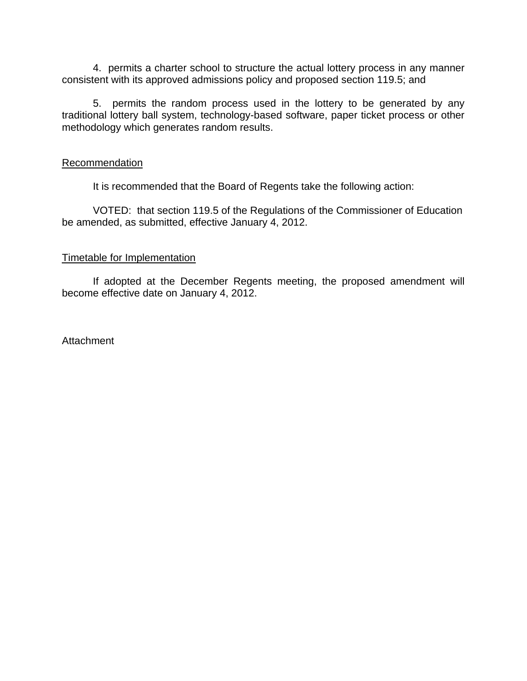4. permits a charter school to structure the actual lottery process in any manner consistent with its approved admissions policy and proposed section 119.5; and

 5. permits the random process used in the lottery to be generated by any traditional lottery ball system, technology-based software, paper ticket process or other methodology which generates random results.

### **Recommendation**

It is recommended that the Board of Regents take the following action:

 VOTED: that section 119.5 of the Regulations of the Commissioner of Education be amended, as submitted, effective January 4, 2012.

### Timetable for Implementation

 If adopted at the December Regents meeting, the proposed amendment will become effective date on January 4, 2012.

Attachment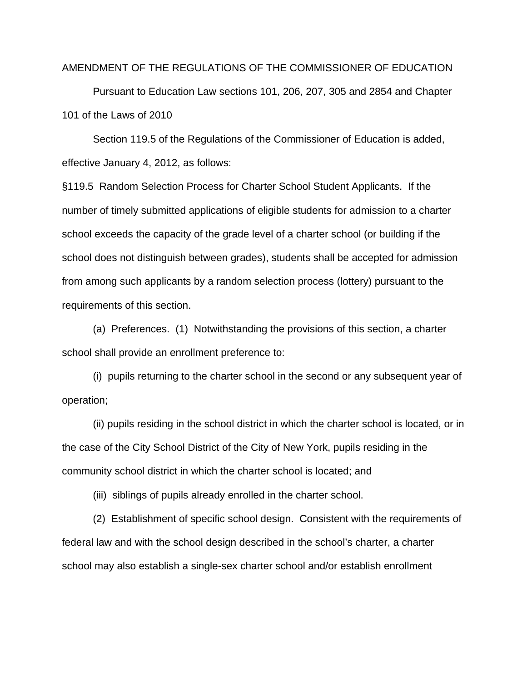#### AMENDMENT OF THE REGULATIONS OF THE COMMISSIONER OF EDUCATION

 Pursuant to Education Law sections 101, 206, 207, 305 and 2854 and Chapter 101 of the Laws of 2010

 Section 119.5 of the Regulations of the Commissioner of Education is added, effective January 4, 2012, as follows:

§119.5 Random Selection Process for Charter School Student Applicants. If the number of timely submitted applications of eligible students for admission to a charter school exceeds the capacity of the grade level of a charter school (or building if the school does not distinguish between grades), students shall be accepted for admission from among such applicants by a random selection process (lottery) pursuant to the requirements of this section.

 (a) Preferences. (1) Notwithstanding the provisions of this section, a charter school shall provide an enrollment preference to:

 (i) pupils returning to the charter school in the second or any subsequent year of operation;

 (ii) pupils residing in the school district in which the charter school is located, or in the case of the City School District of the City of New York, pupils residing in the community school district in which the charter school is located; and

(iii) siblings of pupils already enrolled in the charter school.

 (2) Establishment of specific school design. Consistent with the requirements of federal law and with the school design described in the school's charter, a charter school may also establish a single-sex charter school and/or establish enrollment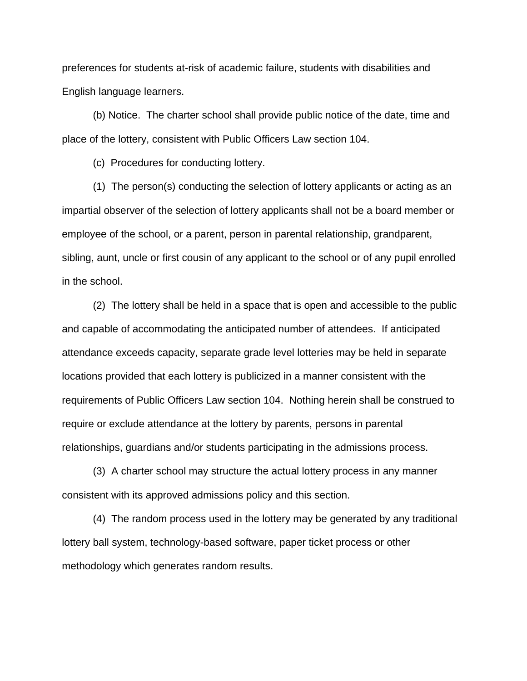preferences for students at-risk of academic failure, students with disabilities and English language learners.

(b) Notice. The charter school shall provide public notice of the date, time and place of the lottery, consistent with Public Officers Law section 104.

(c) Procedures for conducting lottery.

 (1) The person(s) conducting the selection of lottery applicants or acting as an impartial observer of the selection of lottery applicants shall not be a board member or employee of the school, or a parent, person in parental relationship, grandparent, sibling, aunt, uncle or first cousin of any applicant to the school or of any pupil enrolled in the school.

 (2) The lottery shall be held in a space that is open and accessible to the public and capable of accommodating the anticipated number of attendees. If anticipated attendance exceeds capacity, separate grade level lotteries may be held in separate locations provided that each lottery is publicized in a manner consistent with the requirements of Public Officers Law section 104. Nothing herein shall be construed to require or exclude attendance at the lottery by parents, persons in parental relationships, guardians and/or students participating in the admissions process.

 (3) A charter school may structure the actual lottery process in any manner consistent with its approved admissions policy and this section.

 (4) The random process used in the lottery may be generated by any traditional lottery ball system, technology-based software, paper ticket process or other methodology which generates random results.